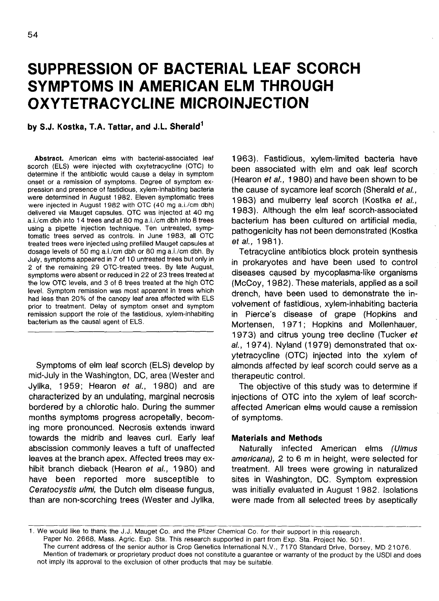# **SUPPRESSION OF BACTERIAL LEAF SCORCH SYMPTOMS IN AMERICAN ELM THROUGH OXYTETRACYCLINE MICROINJECTION**

**by S.J. Kostka, T.A. Tattar, and J.L Sherald<sup>1</sup>**

**Abstract.** American elms with bacterial-associated leaf scorch (ELS) were injected with oxytetracycline (OTC) to determine if the antibiotic would cause a delay in symptom onset or a remission of symptoms. Degree of symptom expression and presence of fastidious, xylem-inhabiting bacteria were determined in August 1982. Eleven symptomatic trees were injected in August 1982 with OTC (40 mg a.i./cm dbh) delivered via Mauget capsules. OTC was injected at 40 mg a.i./cm dbh into 14 trees and at 80 mg a.i./cm dbh into 8 trees using a pipette injection technique. Ten untreated, symptomatic trees served as controls. In June 1983, all OTC treated trees were injected using prefilled Mauget capsules at dosage levels of 50 mg a.i./cm dbh or 80 mg a.i./cm dbh. By July, symptoms appeared in 7 of 10 untreated trees but only in 2 of the remaining 29 OTC-treated trees. By late August, symptoms were absent or reduced in 22 of 23 trees treated at the low OTC levels, and 3 of 6 trees treated at the high OTC level. Symptom remission was most apparent in trees which had less than 20% of the canopy leaf area affected with ELS prior to treatment. Delay of symptom onset and symptom remission support the role of the fastidious, xylem-inhabiting bacterium as the causal agent of ELS.

Symptoms of elm leaf scorch (ELS) develop by mid-July in the Washington, DC, area (Wester and Jyllka, 1959; Hearon et al., 1980) and are characterized by an undulating, marginal necrosis bordered by a chlorotic halo. During the summer months symptoms progress acropetally, becoming more pronounced. Necrosis extends inward towards the midrib and leaves curl. Early leaf abscission commonly leaves a tuft of unaffected leaves at the branch apex. Affected trees may exhibit branch dieback (Hearon et al., 1980) and have been reported more susceptible to Ceratocystis ulmi, the Dutch elm disease fungus, than are non-scorching trees (Wester and Jyllka,

1963). Fastidious, xylem-limited bacteria have been associated with elm and oak leaf scorch (Hearon et al., 1980) and have been shown to be the cause of sycamore leaf scorch (Sherald et al., 1983) and mulberry leaf scorch (Kostka et al., 1983). Although the elm leaf scorch-associated bacterium has been cultured on artificial media, pathogenicity has not been demonstrated (Kostka etal., 1981).

Tetracycline antibiotics block protein synthesis in prokaryotes and have been used to control diseases caused by mycoplasma-like organisms (McCoy, 1982). These materials, applied as a soil drench, have been used to demonstrate the involvement of fastidious, xylem-inhabiting bacteria in Pierce's disease of grape (Hopkins and Mortensen, 1971; Hopkins and Mollenhauer, 1973) and citrus young tree decline (Tucker ef al., 1974). Nyland (1979) demonstrated that oxytetracycline (OTC) injected into the xylem of almonds affected by leaf scorch could serve as a therapeutic control.

The objective of this study was to determine if injections of OTC into the xylem of leaf scorchaffected American elms would cause a remission of symptoms.

## **Materials and Methods**

Naturally infected American elms (Ulmus americana), 2 to 6 m in height, were selected for treatment. All trees were growing in naturalized sites in Washington, DC. Symptom expression was initially evaluated in August 1982. Isolations were made from all selected trees by aseptically

We would like to thank the J.J. Mauget Co. and the Pfizer Chemical Co. for their support in this research.

Paper No. 2668, Mass. Agric. Exp. Sta. This research supported in part from Exp. Sta. Project No. 501.

The current address of the senior author is Crop Genetics International N.V., 7170 Standard Drive, Dorsey, MD 21076. Mention of trademark or proprietary product does not constitute a guarantee or warranty of the product by the USDI and does not imply its approval to the exclusion of other products that may be suitable.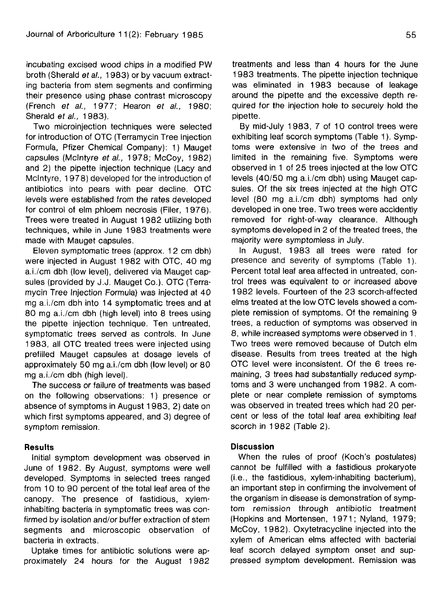incubating excised wood chips in a modified PW broth (Sherald ef al., 1983) or by vacuum extracting bacteria from stem segments and confirming their presence using phase contrast microscopy (French et al., 1977; Hearon et al., 1980; Sherald et al., 1983).

Two microinjection techniques were selected for introduction of OTC (Terramycin Tree Injection Formula, Pfizer Chemical Company): 1) Mauget capsules (Mclntyre et al., 1978; McCoy, 1982) and 2) the pipette injection technique (Lacy and Mclntyre, 1978) developed for the introduction of antibiotics into pears with pear decline. OTC levels were established from the rates developed for control of elm phloem necrosis (Filer, 1976). Trees were treated in August 1982 utilizing both techniques, while in June 1983 treatments were made with Mauget capsules.

Eleven symptomatic trees (approx. 1 2 cm dbh) were injected in August 1982 with OTC, 40 mg a.i./cm dbh (low level), delivered via Mauget capsules (provided by J.J. Mauget Co.). OTC (Terramycin Tree Injection Formula) was injected at 40 mg a.i./cm dbh into 14 symptomatic trees and at 80 mg a.i./cm dbh (high level) into 8 trees using the pipette injection technique. Ten untreated, symptomatic trees served as controls. In June 1983, all OTC treated trees were injected using prefilled Mauget capsules at dosage levels of approximately 50 mg a.i./cm dbh (low level) or 80 mg a.i./cm dbh (high level).

The success or failure of treatments was based on the following observations: 1) presence or absence of symptoms in August 1983, 2) date on which first symptoms appeared, and 3) degree of symptom remission.

# **Results**

Initial symptom development was observed in June of 1982. By August, symptoms were well developed. Symptoms in selected trees ranged from 10 to 90 percent of the total leaf area of the canopy. The presence of fastidious, xylem**inhabiting** bacteria in symptomatic trees was confirmed by isolation and/or buffer extraction of stem segments and microscopic observation of bacteria in extracts.

Uptake times for antibiotic solutions were approximately 24 hours for the August 1982

treatments and less than 4 hours for the June 1983 treatments. The pipette injection technique was eliminated in 1983 because of leakage around the pipette and the excessive depth required for the injection hole to securely hold the pipette.

By mid-July 1983, 7 of 10 control trees were exhibiting leaf scorch symptoms (Table 1). Symptoms were extensive in two of the trees and limited in the remaining five. Symptoms were observed in 1 of 25 trees injected at the low OTC levels (40/50 mg a.i./cm dbh) using Mauget capsules. Of the six trees injected at the high OTC level (80 mg a.i./cm dbh) symptoms had only developed in one tree. Two trees were accidently removed for right-of-way clearance. Although symptoms developed in 2 of the treated trees, the majority were symptomless in July.

In August, 1983 all trees were rated for presence and severity of symptoms (Table 1). Percent total leaf area affected in untreated, control trees was equivalent to or increased above 1982 levels. Fourteen of the 23 scorch-affected elms treated at the low OTC levels showed a complete remission of symptoms. Of the remaining 9 trees, a reduction of symptoms was observed in 8, while increased symptoms were observed in 1. Two trees were removed because of Dutch elm disease. Results from trees treated at the high OTC level were inconsistent. Of the 6 trees remaining, 3 trees had substantially reduced symptoms and 3 were unchanged from 1982. A complete or near complete remission of symptoms was observed in treated trees which had 20 percent or less of the total leaf area exhibiting leaf scorch in 1982 (Table 2).

### **Discussion**

When the rules of proof (Koch's postulates) cannot be fulfilled with a fastidious prokaryote (i.e., the fastidious, xylem-inhabiting bacterium), an important step in confirming the involvement of the organism in disease is demonstration of symptom remission through antibiotic treatment (Hopkins and Mortensen, 1971; Nyland, 1979; McCoy, 1982). Oxytetracycline injected into the xylem of American elms affected with bacterial leaf scorch delayed symptom onset and suppressed symptom development. Remission was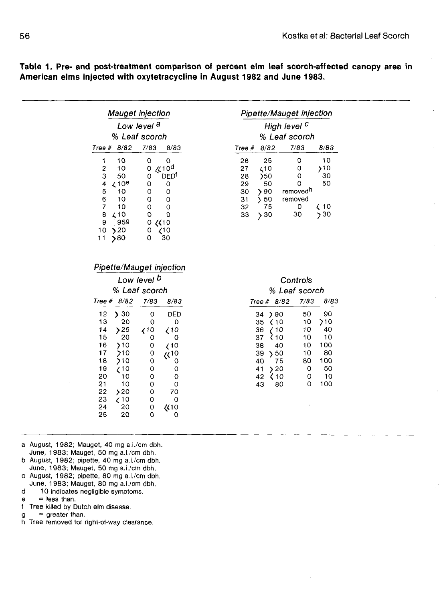Pipette/Mauget injection High level <sup>C</sup> % Leaf scorch Tree\* 8/82 7/83 8/83 **26 25 0 10 <10 0 >10 )50 0 30**

29 50<br>30 **>** 90

30 > 90 removed<sup>h</sup><br>31 > 50 removed 31 ) 50 removed

33 )30 30 }30

 $\begin{array}{ccc} 0 & \swarrow 10 \\ 30 & \searrow 30 \end{array}$ 

|               | <i><b>Mauget injection</b></i> |                        |                  |  |  |  |  |  |
|---------------|--------------------------------|------------------------|------------------|--|--|--|--|--|
|               |                                | Low level <sup>a</sup> |                  |  |  |  |  |  |
|               |                                | % Leaf scorch          |                  |  |  |  |  |  |
| Tree $# 8/82$ |                                | 7/83                   | 8/83             |  |  |  |  |  |
|               | 10                             | 0                      | 0                |  |  |  |  |  |
| 2             | 10                             | 0                      | 410 <sup>d</sup> |  |  |  |  |  |
| 3             | 50                             | 0                      | DED <sup>t</sup> |  |  |  |  |  |
| 4             | $\angle$ 10 <sup>e</sup>       | 0                      | 0                |  |  |  |  |  |
| 5             | 10                             | 0                      | 0                |  |  |  |  |  |
| 6             | 10                             | 0                      | 0                |  |  |  |  |  |
| 7             | 10                             | 0                      | 0                |  |  |  |  |  |
| 8             | L 10                           | 0                      | O                |  |  |  |  |  |
| 9             | 959                            | 0<br>(10               |                  |  |  |  |  |  |
| 10            | 520                            | 0                      | 710              |  |  |  |  |  |
| 11            | 80                             | 0                      | 30               |  |  |  |  |  |

**Table 1. Pre- and post-treatment comparison of percent elm leaf scorch-affected canopy area in American elms injected with oxytetracycline in August 1982 and June 1983.**

#### Pipette/Mauget injection

|    |               | Low level <b>b</b>                                                 |               | Controls              |      |
|----|---------------|--------------------------------------------------------------------|---------------|-----------------------|------|
|    | % Leaf scorch |                                                                    |               | % Leaf scorch         |      |
|    | Tree $# 8/82$ | 7/83                                                               | 8/83          | Tree $# 8/82$         | 7/83 |
| 12 | 30<br>У       | 0                                                                  | DED           | $34$ $\rightarrow$ 90 | 50   |
| 13 | 20            | o                                                                  | O             | $35 \times 10$        | 10   |
| 14 | 25            | $\left\langle \begin{array}{c} 10 \\ 10 \end{array} \right\rangle$ | $\zeta$ 10    | 36 -<br>710           | 10   |
| 15 | 20            | o                                                                  | Ω             | 37<br>$\langle 10$    | 10   |
| 16 | >10           | 0                                                                  | (10)          | 38<br>40              | 10   |
| 17 | >10           | 0                                                                  | $\sqrt{(10)}$ | 39<br>50              | 10   |
| 18 | 710           | 0                                                                  | 0             | 40<br>75              | 80   |
| 19 | 710           | 0                                                                  | 0             | $\frac{1}{2}$<br>41   | 0    |
| 20 | 10            | O                                                                  | O             | 42<br>K 10            | 0    |
| 21 | 10            | Ω                                                                  | 0             | 43<br>80              | 0    |
| 22 | >20           | 0                                                                  | 70            |                       |      |
| 23 | 61 ∕          | 0                                                                  | 0             |                       |      |
| 24 | 20            | 0                                                                  | 《10           |                       |      |
| 25 | 20            | 0                                                                  | O             |                       |      |
|    |               |                                                                    |               |                       |      |

a August, 1982; Mauget, 40 mg a.i./cm dbh. June, 1983; Mauget, 50 mg a.i./cm dbh.

b August, 1982; pipette, 40 mg a.i./cm dbh. June, 1983; Mauget, 50 mg a.i./cm dbh.

- c August, 1982; pipette, 80 mg a.i./cm dbh. June, 1983; Mauget, 80 mg a.i./cm dbh.
- d 10 indicates negligible symptoms,
- $e =$  less than.
- f Tree killed by Dutch elm disease,
- $g =$  greater than.
- h Tree removed for right-of-way clearance.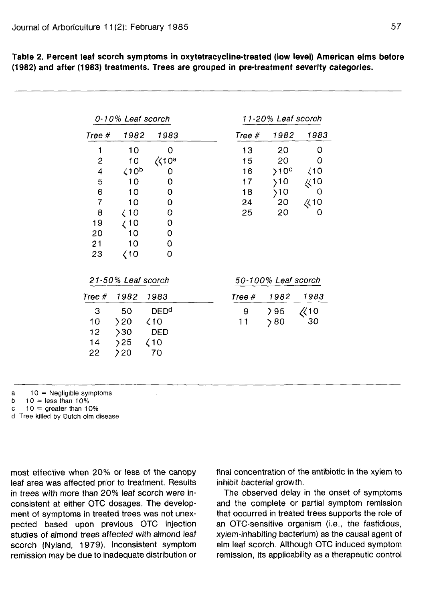| 0-10% Leaf scorch       |                         |                        | 11-20% Leaf scorch  |                  |           |
|-------------------------|-------------------------|------------------------|---------------------|------------------|-----------|
| Tree #                  | 1982                    | 1983                   | Tree $#$            | 1982             | 1983      |
| 1                       | 10                      | 0                      | 13                  | 20               | 0         |
| $\overline{c}$          | 10                      | $\langle 10^a$         | 15                  | 20               | 0         |
| $\overline{\mathbf{4}}$ | $\zeta$ 10 <sup>b</sup> | 0                      | 16                  | >10 <sup>c</sup> | (10)      |
| 5                       | 10                      | $\mathbf 0$            | 17                  | $\rangle$ 10     | 410       |
| 6                       | 10                      | 0                      | 18                  | >10              | 0         |
| $\overline{7}$          | 10                      | 0                      | 24                  | 20               | 《10       |
| 8                       | $\angle 10$             | 0                      | 25                  | 20               | 0         |
| 19                      | (10                     | 0                      |                     |                  |           |
| 20                      | 10                      | 0                      |                     |                  |           |
| 21                      | 10                      | 0                      |                     |                  |           |
| 23                      | (10                     | 0                      |                     |                  |           |
| 21-50% Leaf scorch      |                         |                        | 50-100% Leaf scorch |                  |           |
| Tree #                  | 1982                    | 1983                   | Tree #              | 1982             | 1983      |
| 3                       | 50                      | <b>DED<sup>d</sup></b> | 9                   | 295              | $\chi$ 10 |
| 10                      | 20                      | $\angle 10$            | 11                  | 280              | 30        |
| 12                      | >30                     | DED                    |                     |                  |           |
| 14                      | 25                      | $\langle$ 10           |                     |                  |           |
| 22                      | 20                      | 70                     |                     |                  |           |

**Table 2. Percent leaf scorch symptoms in oxytetracycline-treated (low level) American elms before (1982) and after (1983) treatments. Trees are grouped in pre-treatment severity categories.**

 $a = 10$  = Negligible symptoms

b  $10 =$  less than 10%

c  $10 =$  greater than 10%

d Tree killed by Dutch elm disease

most effective when 20% or less of the canopy leaf area was affected prior to treatment. Results in trees with more than 20% leaf scorch were inconsistent at either OTC dosages. The development of symptoms in treated trees was not unexpected based upon previous OTC injection studies of almond trees affected with almond leaf scorch (Nyland, 1979). Inconsistent symptom remission may be due to inadequate distribution or final concentration of the antibiotic in the xylem to inhibit bacterial growth.

The observed delay in the onset of symptoms and the complete or partial symptom remission that occurred in treated trees supports the role of an OTC-sensitive organism (i.e., the fastidious, xylem-inhabiting bacterium) as the causal agent of elm leaf scorch. Although OTC induced symptom remission, its applicability as a therapeutic control